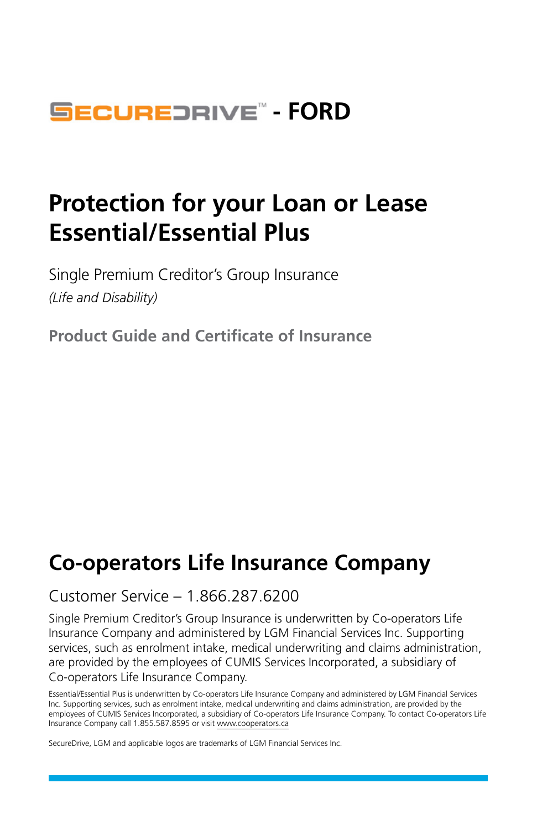## **SECUREDRIVE<sup>®</sup> - FORD**

## **Protection for your Loan or Lease Essential/Essential Plus**

Single Premium Creditor's Group Insurance *(Life and Disability)*

**Product Guide and Certificate of Insurance**

## **Co-operators Life Insurance Company**

### Customer Service – 1.866.287.6200

Single Premium Creditor's Group Insurance is underwritten by Co-operators Life Insurance Company and administered by LGM Financial Services Inc. Supporting services, such as enrolment intake, medical underwriting and claims administration, are provided by the employees of CUMIS Services Incorporated, a subsidiary of Co-operators Life Insurance Company.

Essential/Essential Plus is underwritten by Co-operators Life Insurance Company and administered by LGM Financial Services Inc. Supporting services, such as enrolment intake, medical underwriting and claims administration, are provided by the employees of CUMIS Services Incorporated, a subsidiary of Co-operators Life Insurance Company. To contact Co-operators Life Insurance Company call 1.855.587.8595 or visit [www.cooperators.ca](http://www.cooperators.ca)

SecureDrive, LGM and applicable logos are trademarks of LGM Financial Services Inc.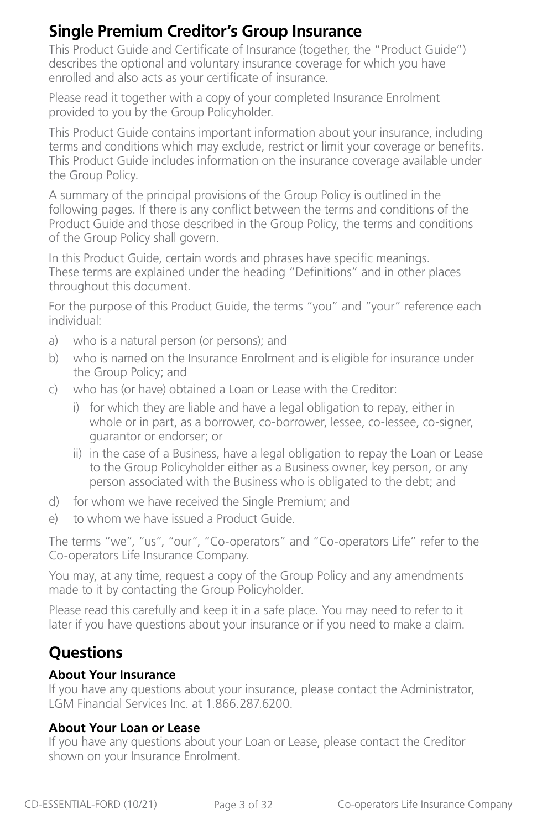## **Single Premium Creditor's Group Insurance**

This Product Guide and Certificate of Insurance (together, the "Product Guide") describes the optional and voluntary insurance coverage for which you have enrolled and also acts as your certificate of insurance.

Please read it together with a copy of your completed Insurance Enrolment provided to you by the Group Policyholder.

This Product Guide contains important information about your insurance, including terms and conditions which may exclude, restrict or limit your coverage or benefits. This Product Guide includes information on the insurance coverage available under the Group Policy.

A summary of the principal provisions of the Group Policy is outlined in the following pages. If there is any conflict between the terms and conditions of the Product Guide and those described in the Group Policy, the terms and conditions of the Group Policy shall govern.

In this Product Guide, certain words and phrases have specific meanings. These terms are explained under the heading "Definitions" and in other places throughout this document.

For the purpose of this Product Guide, the terms "you" and "your" reference each individual:

- a) who is a natural person (or persons); and
- b) who is named on the Insurance Enrolment and is eligible for insurance under the Group Policy; and
- c) who has (or have) obtained a Loan or Lease with the Creditor:
	- i) for which they are liable and have a legal obligation to repay, either in whole or in part, as a borrower, co-borrower, lessee, co-lessee, co-signer, guarantor or endorser; or
	- ii) in the case of a Business, have a legal obligation to repay the Loan or Lease to the Group Policyholder either as a Business owner, key person, or any person associated with the Business who is obligated to the debt; and
- d) for whom we have received the Single Premium; and
- e) to whom we have issued a Product Guide.

The terms "we", "us", "our", "Co-operators" and "Co-operators Life" refer to the Co-operators Life Insurance Company.

You may, at any time, request a copy of the Group Policy and any amendments made to it by contacting the Group Policyholder.

Please read this carefully and keep it in a safe place. You may need to refer to it later if you have questions about your insurance or if you need to make a claim.

## **Questions**

#### **About Your Insurance**

If you have any questions about your insurance, please contact the Administrator, LGM Financial Services Inc. at 1.866.287.6200.

#### **About Your Loan or Lease**

If you have any questions about your Loan or Lease, please contact the Creditor shown on your Insurance Enrolment.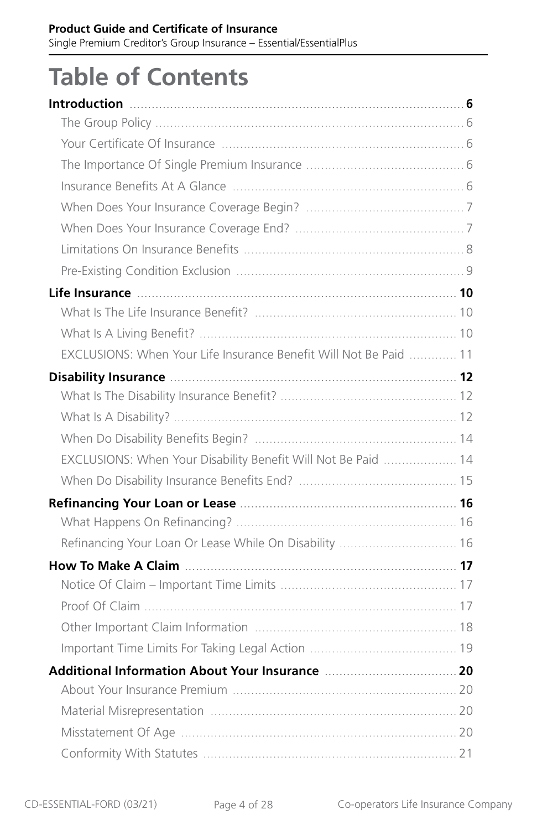# **Table of Contents**

| EXCLUSIONS: When Your Life Insurance Benefit Will Not Be Paid  11      |  |
|------------------------------------------------------------------------|--|
| Disability Insurance <b>Manual According to the Contract Office</b> 12 |  |
|                                                                        |  |
|                                                                        |  |
|                                                                        |  |
| EXCLUSIONS: When Your Disability Benefit Will Not Be Paid  14          |  |
|                                                                        |  |
|                                                                        |  |
|                                                                        |  |
| Refinancing Your Loan Or Lease While On Disability  16                 |  |
|                                                                        |  |
|                                                                        |  |
|                                                                        |  |
|                                                                        |  |
|                                                                        |  |
|                                                                        |  |
|                                                                        |  |
|                                                                        |  |
|                                                                        |  |
|                                                                        |  |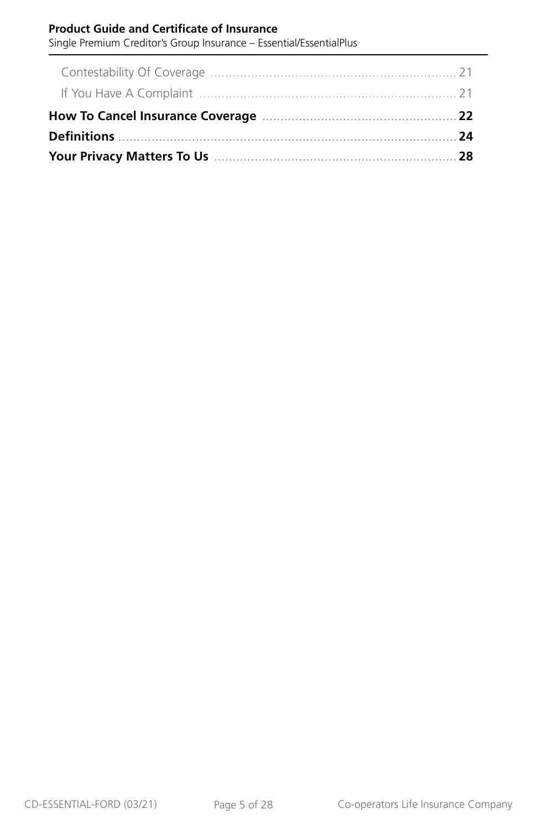#### **Product Guide and Certificate of Insurance**

Single Premium Creditor's Group Insurance – Essential/EssentialPlus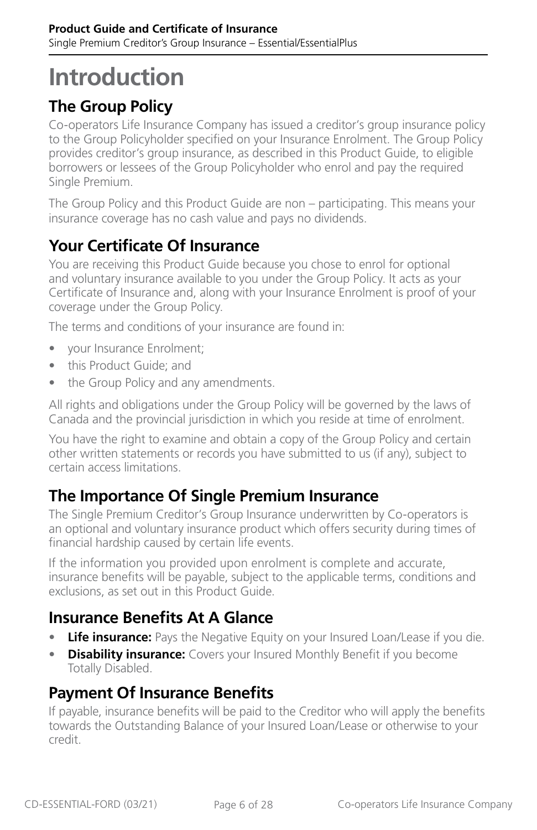## <span id="page-5-0"></span>**Introduction**

## **The Group Policy**

Co-operators Life Insurance Company has issued a creditor's group insurance policy to the Group Policyholder specified on your Insurance Enrolment. The Group Policy provides creditor's group insurance, as described in this Product Guide, to eligible borrowers or lessees of the Group Policyholder who enrol and pay the required Single Premium.

The Group Policy and this Product Guide are non – participating. This means your insurance coverage has no cash value and pays no dividends.

## **Your Certificate Of Insurance**

You are receiving this Product Guide because you chose to enrol for optional and voluntary insurance available to you under the Group Policy. It acts as your Certificate of Insurance and, along with your Insurance Enrolment is proof of your coverage under the Group Policy.

The terms and conditions of your insurance are found in:

- your Insurance Enrolment;
- this Product Guide; and
- the Group Policy and any amendments.

All rights and obligations under the Group Policy will be governed by the laws of Canada and the provincial jurisdiction in which you reside at time of enrolment.

You have the right to examine and obtain a copy of the Group Policy and certain other written statements or records you have submitted to us (if any), subject to certain access limitations.

## **The Importance Of Single Premium Insurance**

The Single Premium Creditor's Group Insurance underwritten by Co-operators is an optional and voluntary insurance product which offers security during times of financial hardship caused by certain life events.

If the information you provided upon enrolment is complete and accurate, insurance benefits will be payable, subject to the applicable terms, conditions and exclusions, as set out in this Product Guide.

## **Insurance Benefits At A Glance**

- **Life insurance:** Pays the Negative Equity on your Insured Loan/Lease if you die.
- **Disability insurance:** Covers your Insured Monthly Benefit if you become Totally Disabled.

### **Payment Of Insurance Benefits**

If payable, insurance benefits will be paid to the Creditor who will apply the benefits towards the Outstanding Balance of your Insured Loan/Lease or otherwise to your credit.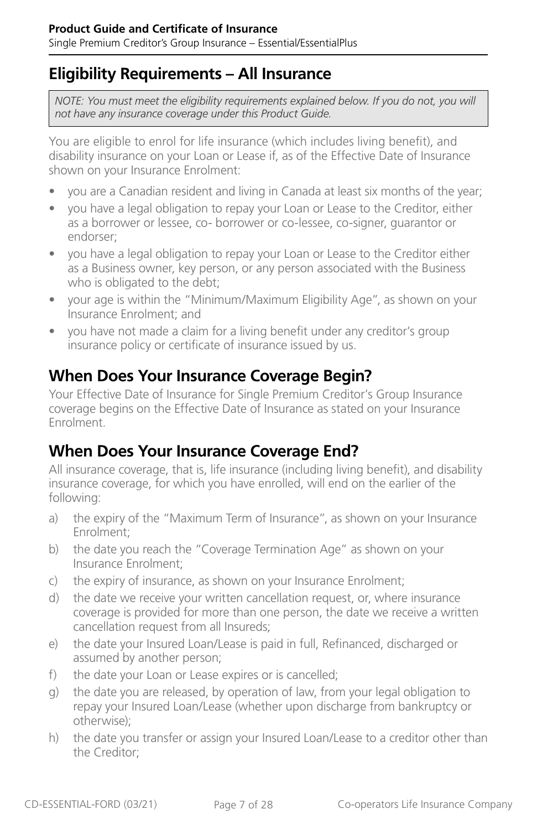<span id="page-6-0"></span>Single Premium Creditor's Group Insurance – Essential/EssentialPlus

### **Eligibility Requirements – All Insurance**

*NOTE: You must meet the eligibility requirements explained below. If you do not, you will not have any insurance coverage under this Product Guide.*

You are eligible to enrol for life insurance (which includes living benefit), and disability insurance on your Loan or Lease if, as of the Effective Date of Insurance shown on your Insurance Enrolment:

- you are a Canadian resident and living in Canada at least six months of the year;
- you have a legal obligation to repay your Loan or Lease to the Creditor, either as a borrower or lessee, co- borrower or co-lessee, co-signer, guarantor or endorser;
- you have a legal obligation to repay your Loan or Lease to the Creditor either as a Business owner, key person, or any person associated with the Business who is obligated to the debt;
- your age is within the "Minimum/Maximum Eligibility Age", as shown on your Insurance Enrolment; and
- you have not made a claim for a living benefit under any creditor's group insurance policy or certificate of insurance issued by us.

## **When Does Your Insurance Coverage Begin?**

Your Effective Date of Insurance for Single Premium Creditor's Group Insurance coverage begins on the Effective Date of Insurance as stated on your Insurance Enrolment.

## **When Does Your Insurance Coverage End?**

All insurance coverage, that is, life insurance (including living benefit), and disability insurance coverage, for which you have enrolled, will end on the earlier of the following:

- a) the expiry of the "Maximum Term of Insurance", as shown on your Insurance Enrolment;
- b) the date you reach the "Coverage Termination Age" as shown on your Insurance Enrolment;
- c) the expiry of insurance, as shown on your Insurance Enrolment;
- d) the date we receive your written cancellation request, or, where insurance coverage is provided for more than one person, the date we receive a written cancellation request from all Insureds;
- e) the date your Insured Loan/Lease is paid in full, Refinanced, discharged or assumed by another person;
- f) the date your Loan or Lease expires or is cancelled;
- g) the date you are released, by operation of law, from your legal obligation to repay your Insured Loan/Lease (whether upon discharge from bankruptcy or otherwise);
- h) the date you transfer or assign your Insured Loan/Lease to a creditor other than the Creditor;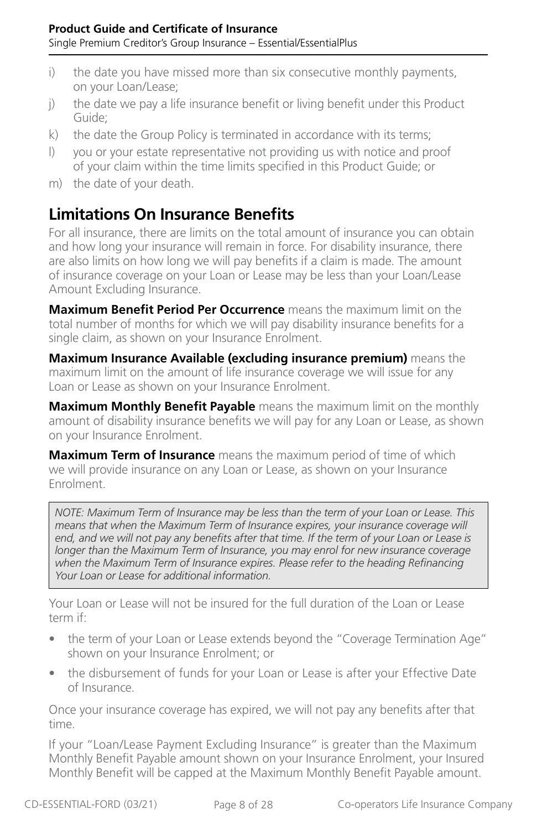- <span id="page-7-0"></span>i) the date you have missed more than six consecutive monthly payments, on your Loan/Lease;
- j) the date we pay a life insurance benefit or living benefit under this Product Guide;
- k) the date the Group Policy is terminated in accordance with its terms;
- l) you or your estate representative not providing us with notice and proof of your claim within the time limits specified in this Product Guide; or
- m) the date of your death.

## **Limitations On Insurance Benefits**

For all insurance, there are limits on the total amount of insurance you can obtain and how long your insurance will remain in force. For disability insurance, there are also limits on how long we will pay benefits if a claim is made. The amount of insurance coverage on your Loan or Lease may be less than your Loan/Lease Amount Excluding Insurance.

**Maximum Benefit Period Per Occurrence** means the maximum limit on the total number of months for which we will pay disability insurance benefits for a single claim, as shown on your Insurance Enrolment.

**Maximum Insurance Available (excluding insurance premium)** means the maximum limit on the amount of life insurance coverage we will issue for any Loan or Lease as shown on your Insurance Enrolment.

**Maximum Monthly Benefit Payable** means the maximum limit on the monthly amount of disability insurance benefits we will pay for any Loan or Lease, as shown on your Insurance Enrolment.

**Maximum Term of Insurance** means the maximum period of time of which we will provide insurance on any Loan or Lease, as shown on your Insurance Enrolment.

*NOTE: Maximum Term of Insurance may be less than the term of your Loan or Lease. This means that when the Maximum Term of Insurance expires, your insurance coverage will end, and we will not pay any benefits after that time. If the term of your Loan or Lease is longer than the Maximum Term of Insurance, you may enrol for new insurance coverage when the Maximum Term of Insurance expires. Please refer to the heading Refinancing Your Loan or Lease for additional information.*

Your Loan or Lease will not be insured for the full duration of the Loan or Lease term if:

- the term of your Loan or Lease extends beyond the "Coverage Termination Age" shown on your Insurance Enrolment; or
- the disbursement of funds for your Loan or Lease is after your Effective Date of Insurance.

Once your insurance coverage has expired, we will not pay any benefits after that time.

If your "Loan/Lease Payment Excluding Insurance" is greater than the Maximum Monthly Benefit Payable amount shown on your Insurance Enrolment, your Insured Monthly Benefit will be capped at the Maximum Monthly Benefit Payable amount.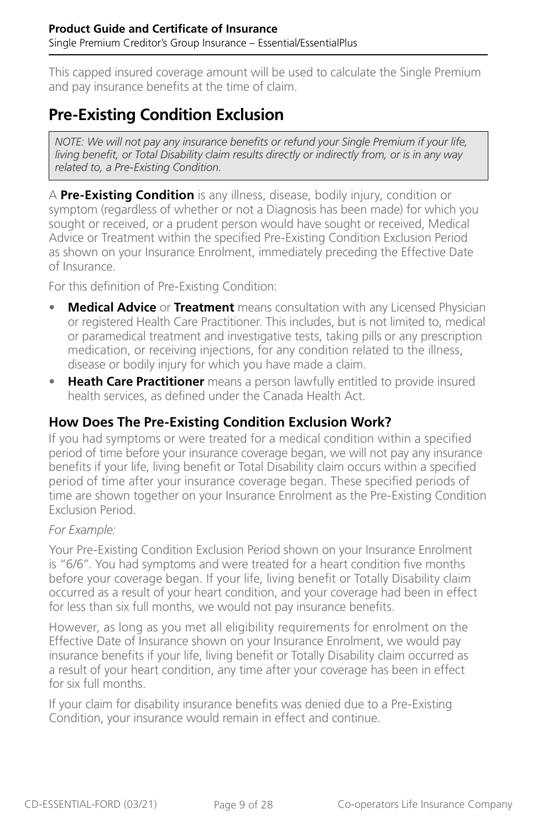<span id="page-8-0"></span>This capped insured coverage amount will be used to calculate the Single Premium and pay insurance benefits at the time of claim.

## **Pre-Existing Condition Exclusion**

*NOTE: We will not pay any insurance benefits or refund your Single Premium if your life, living benefit, or Total Disability claim results directly or indirectly from, or is in any way related to, a Pre-Existing Condition.*

A **Pre-Existing Condition** is any illness, disease, bodily injury, condition or symptom (regardless of whether or not a Diagnosis has been made) for which you sought or received, or a prudent person would have sought or received, Medical Advice or Treatment within the specified Pre-Existing Condition Exclusion Period as shown on your Insurance Enrolment, immediately preceding the Effective Date of Insurance.

For this definition of Pre-Existing Condition:

- **Medical Advice** or **Treatment** means consultation with any Licensed Physician or registered Health Care Practitioner. This includes, but is not limited to, medical or paramedical treatment and investigative tests, taking pills or any prescription medication, or receiving injections, for any condition related to the illness, disease or bodily injury for which you have made a claim.
- **Heath Care Practitioner** means a person lawfully entitled to provide insured health services, as defined under the Canada Health Act.

#### **How Does The Pre-Existing Condition Exclusion Work?**

If you had symptoms or were treated for a medical condition within a specified period of time before your insurance coverage began, we will not pay any insurance benefits if your life, living benefit or Total Disability claim occurs within a specified period of time after your insurance coverage began. These specified periods of time are shown together on your Insurance Enrolment as the Pre-Existing Condition Exclusion Period.

#### *For Example:*

Your Pre-Existing Condition Exclusion Period shown on your Insurance Enrolment is "6/6". You had symptoms and were treated for a heart condition five months before your coverage began. If your life, living benefit or Totally Disability claim occurred as a result of your heart condition, and your coverage had been in effect for less than six full months, we would not pay insurance benefits.

However, as long as you met all eligibility requirements for enrolment on the Effective Date of Insurance shown on your Insurance Enrolment, we would pay insurance benefits if your life, living benefit or Totally Disability claim occurred as a result of your heart condition, any time after your coverage has been in effect for six full months.

If your claim for disability insurance benefits was denied due to a Pre-Existing Condition, your insurance would remain in effect and continue.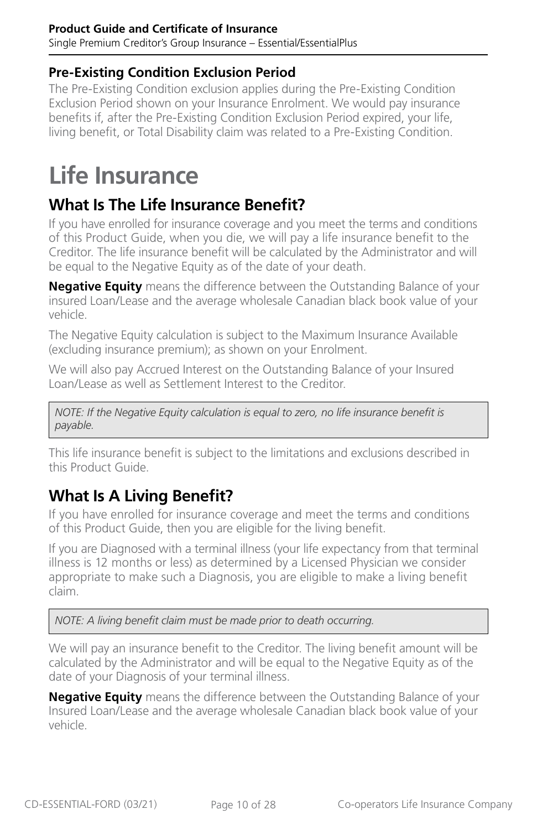#### <span id="page-9-0"></span>**Product Guide and Certificate of Insurance** Single Premium Creditor's Group Insurance – Essential/EssentialPlus

#### **Pre-Existing Condition Exclusion Period**

The Pre-Existing Condition exclusion applies during the Pre-Existing Condition Exclusion Period shown on your Insurance Enrolment. We would pay insurance benefits if, after the Pre-Existing Condition Exclusion Period expired, your life, living benefit, or Total Disability claim was related to a Pre-Existing Condition.

# **Life Insurance**

## **What Is The Life Insurance Benefit?**

If you have enrolled for insurance coverage and you meet the terms and conditions of this Product Guide, when you die, we will pay a life insurance benefit to the Creditor. The life insurance benefit will be calculated by the Administrator and will be equal to the Negative Equity as of the date of your death.

**Negative Equity** means the difference between the Outstanding Balance of your insured Loan/Lease and the average wholesale Canadian black book value of your vehicle.

The Negative Equity calculation is subject to the Maximum Insurance Available (excluding insurance premium); as shown on your Enrolment.

We will also pay Accrued Interest on the Outstanding Balance of your Insured Loan/Lease as well as Settlement Interest to the Creditor.

*NOTE: If the Negative Equity calculation is equal to zero, no life insurance benefit is payable.*

This life insurance benefit is subject to the limitations and exclusions described in this Product Guide.

## **What Is A Living Benefit?**

If you have enrolled for insurance coverage and meet the terms and conditions of this Product Guide, then you are eligible for the living benefit.

If you are Diagnosed with a terminal illness (your life expectancy from that terminal illness is 12 months or less) as determined by a Licensed Physician we consider appropriate to make such a Diagnosis, you are eligible to make a living benefit claim.

*NOTE: A living benefit claim must be made prior to death occurring.*

We will pay an insurance benefit to the Creditor. The living benefit amount will be calculated by the Administrator and will be equal to the Negative Equity as of the date of your Diagnosis of your terminal illness.

**Negative Equity** means the difference between the Outstanding Balance of your Insured Loan/Lease and the average wholesale Canadian black book value of your vehicle.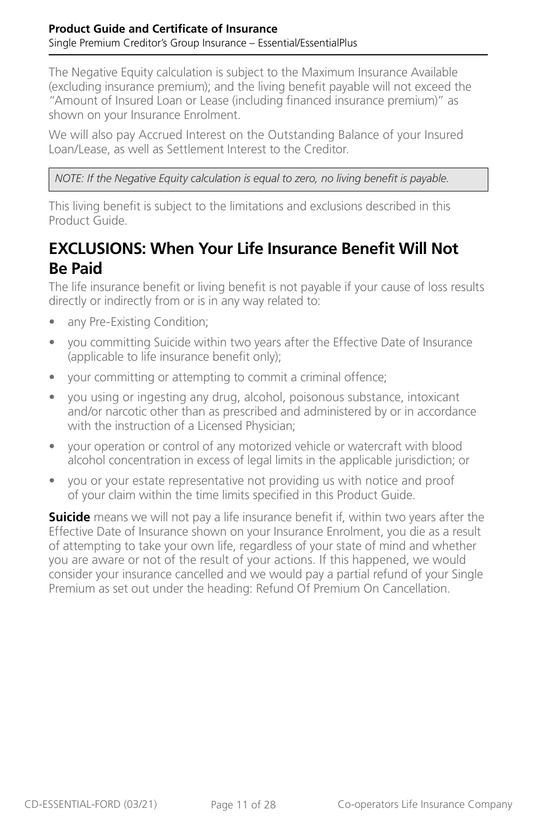<span id="page-10-0"></span>The Negative Equity calculation is subject to the Maximum Insurance Available (excluding insurance premium); and the living benefit payable will not exceed the "Amount of Insured Loan or Lease (including financed insurance premium)" as shown on your Insurance Enrolment.

We will also pay Accrued Interest on the Outstanding Balance of your Insured Loan/Lease, as well as Settlement Interest to the Creditor.

*NOTE: If the Negative Equity calculation is equal to zero, no living benefit is payable.*

This living benefit is subject to the limitations and exclusions described in this Product Guide.

### **EXCLUSIONS: When Your Life Insurance Benefit Will Not Be Paid**

The life insurance benefit or living benefit is not payable if your cause of loss results directly or indirectly from or is in any way related to:

- any Pre-Existing Condition;
- you committing Suicide within two years after the Effective Date of Insurance (applicable to life insurance benefit only);
- your committing or attempting to commit a criminal offence;
- you using or ingesting any drug, alcohol, poisonous substance, intoxicant and/or narcotic other than as prescribed and administered by or in accordance with the instruction of a Licensed Physician;
- your operation or control of any motorized vehicle or watercraft with blood alcohol concentration in excess of legal limits in the applicable jurisdiction; or
- you or your estate representative not providing us with notice and proof of your claim within the time limits specified in this Product Guide.

**Suicide** means we will not pay a life insurance benefit if, within two years after the Effective Date of Insurance shown on your Insurance Enrolment, you die as a result of attempting to take your own life, regardless of your state of mind and whether you are aware or not of the result of your actions. If this happened, we would consider your insurance cancelled and we would pay a partial refund of your Single Premium as set out under the heading: Refund Of Premium On Cancellation.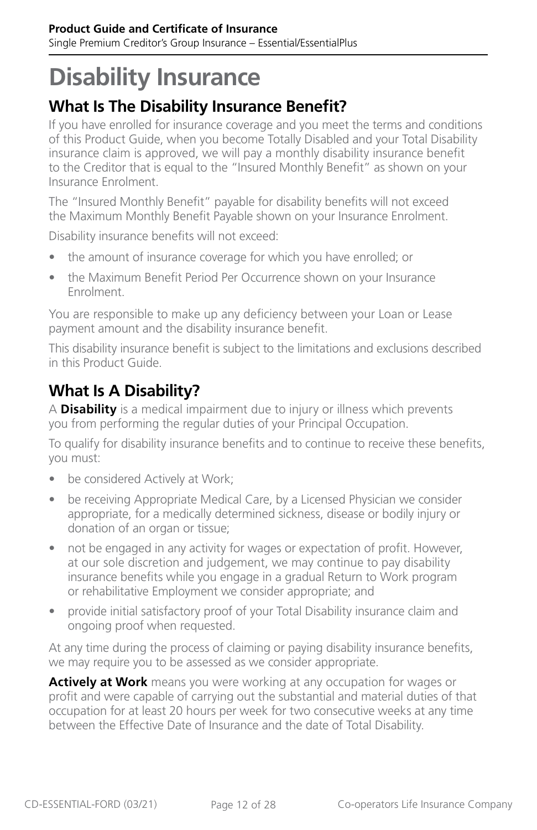# <span id="page-11-0"></span>**Disability Insurance**

## **What Is The Disability Insurance Benefit?**

If you have enrolled for insurance coverage and you meet the terms and conditions of this Product Guide, when you become Totally Disabled and your Total Disability insurance claim is approved, we will pay a monthly disability insurance benefit to the Creditor that is equal to the "Insured Monthly Benefit" as shown on your Insurance Enrolment.

The "Insured Monthly Benefit" payable for disability benefits will not exceed the Maximum Monthly Benefit Payable shown on your Insurance Enrolment.

Disability insurance benefits will not exceed:

- the amount of insurance coverage for which you have enrolled; or
- the Maximum Benefit Period Per Occurrence shown on your Insurance Enrolment.

You are responsible to make up any deficiency between your Loan or Lease payment amount and the disability insurance benefit.

This disability insurance benefit is subject to the limitations and exclusions described in this Product Guide.

## **What Is A Disability?**

A **Disability** is a medical impairment due to injury or illness which prevents you from performing the regular duties of your Principal Occupation.

To qualify for disability insurance benefits and to continue to receive these benefits, you must:

- be considered Actively at Work;
- be receiving Appropriate Medical Care, by a Licensed Physician we consider appropriate, for a medically determined sickness, disease or bodily injury or donation of an organ or tissue;
- not be engaged in any activity for wages or expectation of profit. However, at our sole discretion and judgement, we may continue to pay disability insurance benefits while you engage in a gradual Return to Work program or rehabilitative Employment we consider appropriate; and
- provide initial satisfactory proof of your Total Disability insurance claim and ongoing proof when requested.

At any time during the process of claiming or paying disability insurance benefits, we may require you to be assessed as we consider appropriate.

**Actively at Work** means you were working at any occupation for wages or profit and were capable of carrying out the substantial and material duties of that occupation for at least 20 hours per week for two consecutive weeks at any time between the Effective Date of Insurance and the date of Total Disability.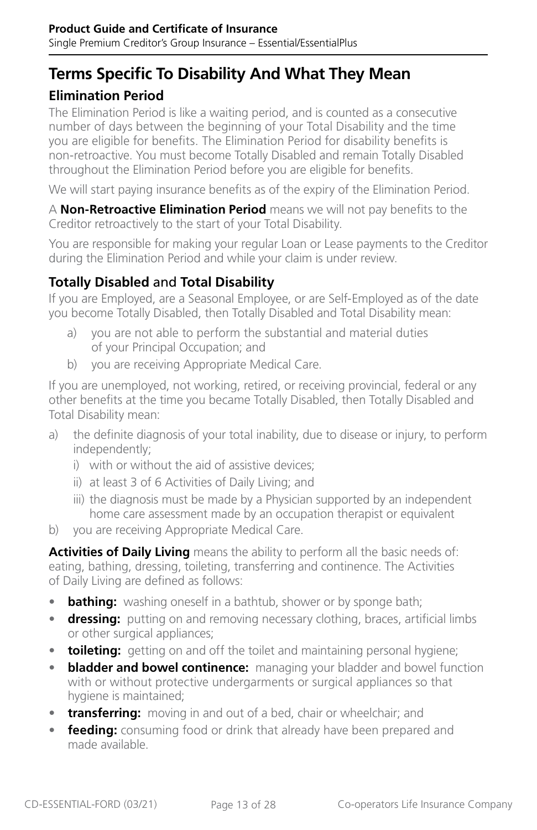## **Terms Specific To Disability And What They Mean**

#### **Elimination Period**

The Elimination Period is like a waiting period, and is counted as a consecutive number of days between the beginning of your Total Disability and the time you are eligible for benefits. The Elimination Period for disability benefits is non-retroactive. You must become Totally Disabled and remain Totally Disabled throughout the Elimination Period before you are eligible for benefits.

We will start paying insurance benefits as of the expiry of the Elimination Period.

A **Non-Retroactive Elimination Period** means we will not pay benefits to the Creditor retroactively to the start of your Total Disability.

You are responsible for making your regular Loan or Lease payments to the Creditor during the Elimination Period and while your claim is under review.

#### **Totally Disabled** and **Total Disability**

If you are Employed, are a Seasonal Employee, or are Self-Employed as of the date you become Totally Disabled, then Totally Disabled and Total Disability mean:

- a) you are not able to perform the substantial and material duties of your Principal Occupation; and
- b) you are receiving Appropriate Medical Care.

If you are unemployed, not working, retired, or receiving provincial, federal or any other benefits at the time you became Totally Disabled, then Totally Disabled and Total Disability mean:

- a) the definite diagnosis of your total inability, due to disease or injury, to perform independently;
	- i) with or without the aid of assistive devices;
	- ii) at least 3 of 6 Activities of Daily Living; and
	- iii) the diagnosis must be made by a Physician supported by an independent home care assessment made by an occupation therapist or equivalent
- b) you are receiving Appropriate Medical Care.

**Activities of Daily Living** means the ability to perform all the basic needs of: eating, bathing, dressing, toileting, transferring and continence. The Activities of Daily Living are defined as follows:

- **bathing:** washing oneself in a bathtub, shower or by sponge bath;
- **dressing:** putting on and removing necessary clothing, braces, artificial limbs or other surgical appliances;
- **toileting:** getting on and off the toilet and maintaining personal hygiene;
- **bladder and bowel continence:** managing your bladder and bowel function with or without protective undergarments or surgical appliances so that hygiene is maintained;
- **transferring:** moving in and out of a bed, chair or wheelchair; and
- **feeding:** consuming food or drink that already have been prepared and made available.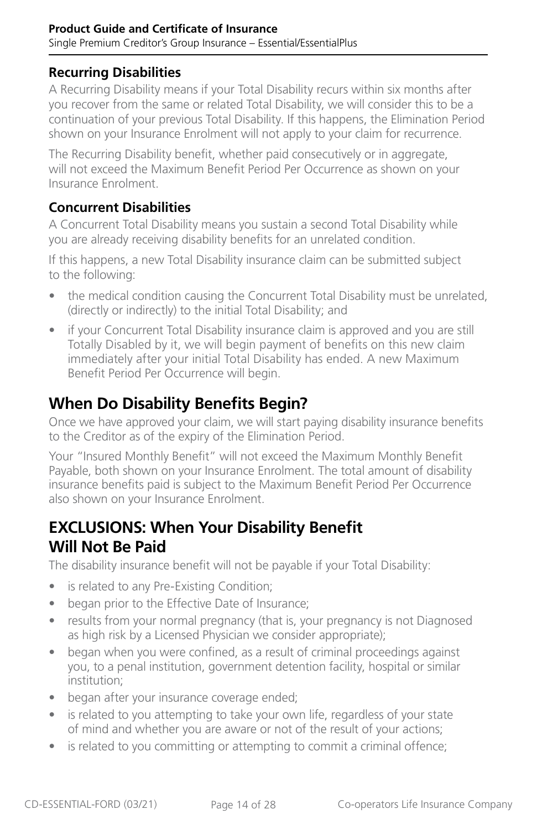#### <span id="page-13-0"></span>**Recurring Disabilities**

A Recurring Disability means if your Total Disability recurs within six months after you recover from the same or related Total Disability, we will consider this to be a continuation of your previous Total Disability. If this happens, the Elimination Period shown on your Insurance Enrolment will not apply to your claim for recurrence.

The Recurring Disability benefit, whether paid consecutively or in aggregate, will not exceed the Maximum Benefit Period Per Occurrence as shown on your Insurance Enrolment.

#### **Concurrent Disabilities**

A Concurrent Total Disability means you sustain a second Total Disability while you are already receiving disability benefits for an unrelated condition.

If this happens, a new Total Disability insurance claim can be submitted subject to the following:

- the medical condition causing the Concurrent Total Disability must be unrelated, (directly or indirectly) to the initial Total Disability; and
- if your Concurrent Total Disability insurance claim is approved and you are still Totally Disabled by it, we will begin payment of benefits on this new claim immediately after your initial Total Disability has ended. A new Maximum Benefit Period Per Occurrence will begin.

## **When Do Disability Benefits Begin?**

Once we have approved your claim, we will start paying disability insurance benefits to the Creditor as of the expiry of the Elimination Period.

Your "Insured Monthly Benefit" will not exceed the Maximum Monthly Benefit Payable, both shown on your Insurance Enrolment. The total amount of disability insurance benefits paid is subject to the Maximum Benefit Period Per Occurrence also shown on your Insurance Enrolment.

### **EXCLUSIONS: When Your Disability Benefit Will Not Be Paid**

The disability insurance benefit will not be payable if your Total Disability:

- is related to any Pre-Existing Condition;
- began prior to the Effective Date of Insurance;
- results from your normal pregnancy (that is, your pregnancy is not Diagnosed as high risk by a Licensed Physician we consider appropriate);
- began when you were confined, as a result of criminal proceedings against you, to a penal institution, government detention facility, hospital or similar institution;
- began after your insurance coverage ended;
- is related to you attempting to take your own life, regardless of your state of mind and whether you are aware or not of the result of your actions;
- is related to you committing or attempting to commit a criminal offence;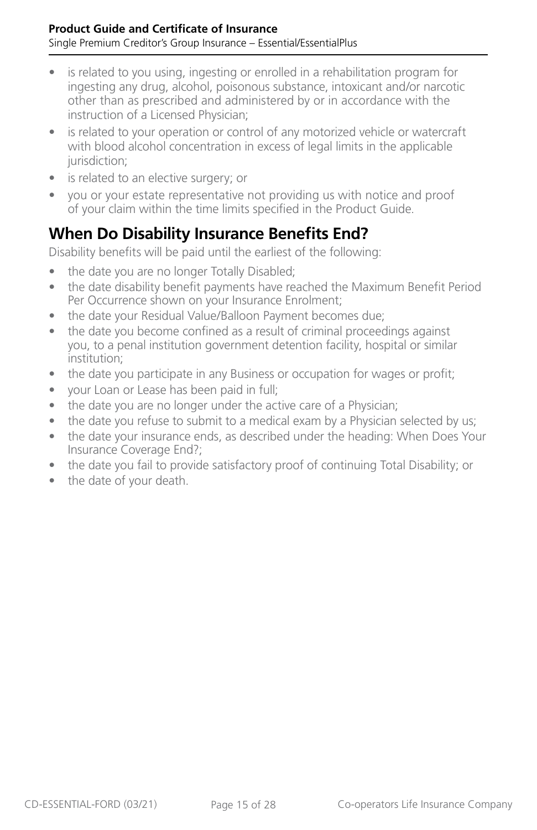- <span id="page-14-0"></span>• is related to you using, ingesting or enrolled in a rehabilitation program for ingesting any drug, alcohol, poisonous substance, intoxicant and/or narcotic other than as prescribed and administered by or in accordance with the instruction of a Licensed Physician;
- is related to your operation or control of any motorized vehicle or watercraft with blood alcohol concentration in excess of legal limits in the applicable jurisdiction;
- is related to an elective surgery; or
- you or your estate representative not providing us with notice and proof of your claim within the time limits specified in the Product Guide.

## **When Do Disability Insurance Benefits End?**

Disability benefits will be paid until the earliest of the following:

- the date you are no longer Totally Disabled;
- the date disability benefit payments have reached the Maximum Benefit Period Per Occurrence shown on your Insurance Enrolment;
- the date your Residual Value/Balloon Payment becomes due;
- the date you become confined as a result of criminal proceedings against you, to a penal institution government detention facility, hospital or similar institution;
- the date you participate in any Business or occupation for wages or profit;
- your Loan or Lease has been paid in full;
- the date you are no longer under the active care of a Physician;
- the date you refuse to submit to a medical exam by a Physician selected by us;
- the date your insurance ends, as described under the heading: When Does Your Insurance Coverage End?;
- the date you fail to provide satisfactory proof of continuing Total Disability; or
- the date of your death.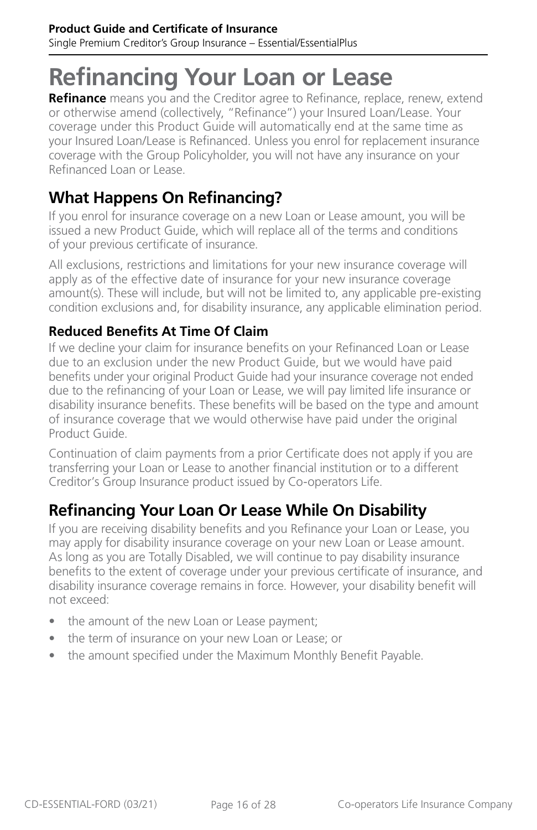# <span id="page-15-0"></span>**Refinancing Your Loan or Lease**

**Refinance** means you and the Creditor agree to Refinance, replace, renew, extend or otherwise amend (collectively, "Refinance") your Insured Loan/Lease. Your coverage under this Product Guide will automatically end at the same time as your Insured Loan/Lease is Refinanced. Unless you enrol for replacement insurance coverage with the Group Policyholder, you will not have any insurance on your Refinanced Loan or Lease.

## **What Happens On Refinancing?**

If you enrol for insurance coverage on a new Loan or Lease amount, you will be issued a new Product Guide, which will replace all of the terms and conditions of your previous certificate of insurance.

All exclusions, restrictions and limitations for your new insurance coverage will apply as of the effective date of insurance for your new insurance coverage amount(s). These will include, but will not be limited to, any applicable pre-existing condition exclusions and, for disability insurance, any applicable elimination period.

#### **Reduced Benefits At Time Of Claim**

If we decline your claim for insurance benefits on your Refinanced Loan or Lease due to an exclusion under the new Product Guide, but we would have paid benefits under your original Product Guide had your insurance coverage not ended due to the refinancing of your Loan or Lease, we will pay limited life insurance or disability insurance benefits. These benefits will be based on the type and amount of insurance coverage that we would otherwise have paid under the original Product Guide.

Continuation of claim payments from a prior Certificate does not apply if you are transferring your Loan or Lease to another financial institution or to a different Creditor's Group Insurance product issued by Co-operators Life.

## **Refinancing Your Loan Or Lease While On Disability**

If you are receiving disability benefits and you Refinance your Loan or Lease, you may apply for disability insurance coverage on your new Loan or Lease amount. As long as you are Totally Disabled, we will continue to pay disability insurance benefits to the extent of coverage under your previous certificate of insurance, and disability insurance coverage remains in force. However, your disability benefit will not exceed:

- the amount of the new Loan or Lease payment;
- the term of insurance on your new Loan or Lease; or
- the amount specified under the Maximum Monthly Benefit Payable.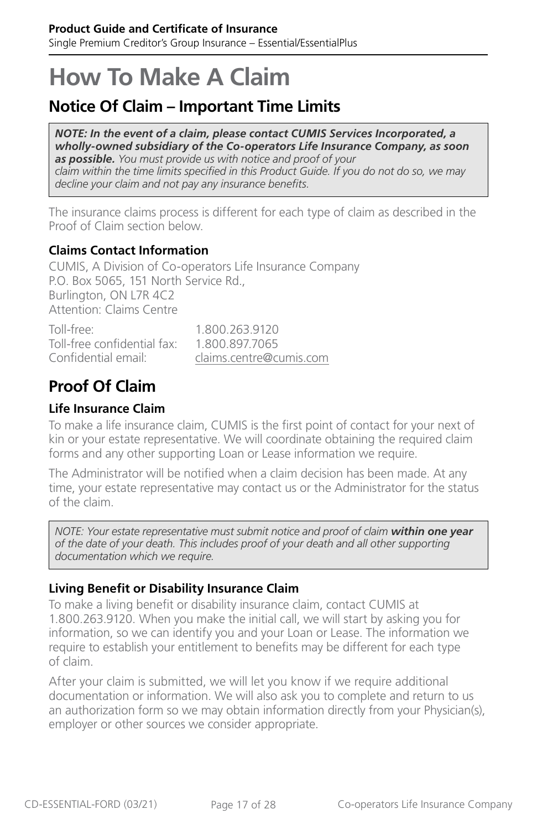## <span id="page-16-0"></span>**How To Make A Claim**

## **Notice Of Claim – Important Time Limits**

*NOTE: In the event of a claim, please contact CUMIS Services Incorporated, a wholly-owned subsidiary of the Co-operators Life Insurance Company, as soon as possible. You must provide us with notice and proof of your claim within the time limits specified in this Product Guide. If you do not do so, we may decline your claim and not pay any insurance benefits.*

The insurance claims process is different for each type of claim as described in the Proof of Claim section below.

#### **Claims Contact Information**

CUMIS, A Division of Co-operators Life Insurance Company P.O. Box 5065, 151 North Service Rd., Burlington, ON L7R 4C2 Attention: Claims Centre

| Toll-free:                  | 1.800.263.9120          |
|-----------------------------|-------------------------|
| Toll-free confidential fax: | 1.800.897.7065          |
| Confidential email:         | claims.centre@cumis.com |

## **Proof Of Claim**

#### **Life Insurance Claim**

To make a life insurance claim, CUMIS is the first point of contact for your next of kin or your estate representative. We will coordinate obtaining the required claim forms and any other supporting Loan or Lease information we require.

The Administrator will be notified when a claim decision has been made. At any time, your estate representative may contact us or the Administrator for the status of the claim.

*NOTE: Your estate representative must submit notice and proof of claim within one year of the date of your death. This includes proof of your death and all other supporting documentation which we require.*

#### **Living Benefit or Disability Insurance Claim**

To make a living benefit or disability insurance claim, contact CUMIS at 1.800.263.9120. When you make the initial call, we will start by asking you for information, so we can identify you and your Loan or Lease. The information we require to establish your entitlement to benefits may be different for each type of claim.

After your claim is submitted, we will let you know if we require additional documentation or information. We will also ask you to complete and return to us an authorization form so we may obtain information directly from your Physician(s), employer or other sources we consider appropriate.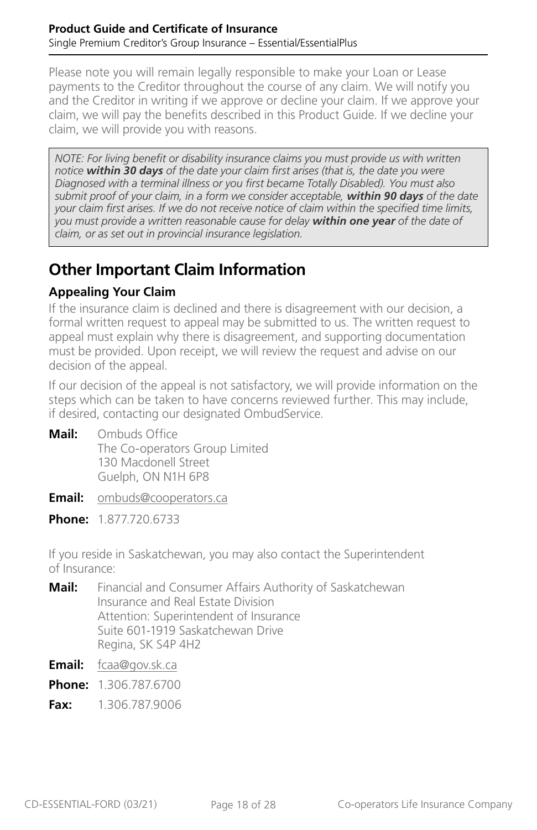<span id="page-17-0"></span>Please note you will remain legally responsible to make your Loan or Lease payments to the Creditor throughout the course of any claim. We will notify you and the Creditor in writing if we approve or decline your claim. If we approve your claim, we will pay the benefits described in this Product Guide. If we decline your claim, we will provide you with reasons.

*NOTE: For living benefit or disability insurance claims you must provide us with written notice within 30 days of the date your claim first arises (that is, the date you were Diagnosed with a terminal illness or you first became Totally Disabled). You must also submit proof of your claim, in a form we consider acceptable, within 90 days of the date your claim first arises. If we do not receive notice of claim within the specified time limits, you must provide a written reasonable cause for delay within one year of the date of claim, or as set out in provincial insurance legislation.*

## **Other Important Claim Information**

#### **Appealing Your Claim**

If the insurance claim is declined and there is disagreement with our decision, a formal written request to appeal may be submitted to us. The written request to appeal must explain why there is disagreement, and supporting documentation must be provided. Upon receipt, we will review the request and advise on our decision of the appeal.

If our decision of the appeal is not satisfactory, we will provide information on the steps which can be taken to have concerns reviewed further. This may include, if desired, contacting our designated OmbudService.

- **Mail:** Ombuds Office The Co-operators Group Limited 130 Macdonell Street Guelph, ON N1H 6P8
- **Email:** [ombuds@cooperators.ca](mailto:ombuds%40cooperators.ca?subject=)
- **Phone:** 1.877.720.6733

If you reside in Saskatchewan, you may also contact the Superintendent of Insurance:

- **Mail:** Financial and Consumer Affairs Authority of Saskatchewan Insurance and Real Estate Division Attention: Superintendent of Insurance Suite 601-1919 Saskatchewan Drive Regina, SK S4P 4H2
- **Email:** [fcaa@gov.sk.ca](mailto:fcaa%40gov.sk.ca?subject=)
- **Phone:** 1.306.787.6700
- **Fax:** 1.306.787.9006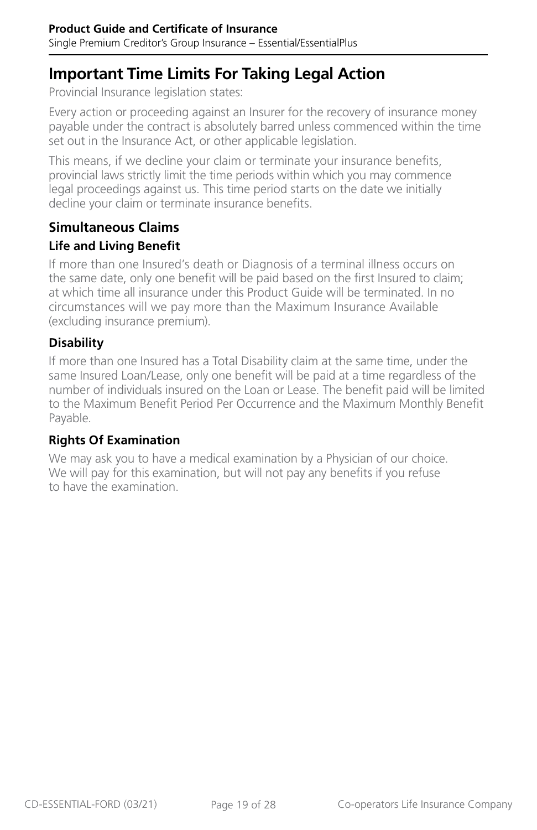## <span id="page-18-0"></span>**Important Time Limits For Taking Legal Action**

Provincial Insurance legislation states:

Every action or proceeding against an Insurer for the recovery of insurance money payable under the contract is absolutely barred unless commenced within the time set out in the Insurance Act, or other applicable legislation.

This means, if we decline your claim or terminate your insurance benefits, provincial laws strictly limit the time periods within which you may commence legal proceedings against us. This time period starts on the date we initially decline your claim or terminate insurance benefits.

### **Simultaneous Claims**

#### **Life and Living Benefit**

If more than one Insured's death or Diagnosis of a terminal illness occurs on the same date, only one benefit will be paid based on the first Insured to claim; at which time all insurance under this Product Guide will be terminated. In no circumstances will we pay more than the Maximum Insurance Available (excluding insurance premium).

#### **Disability**

If more than one Insured has a Total Disability claim at the same time, under the same Insured Loan/Lease, only one benefit will be paid at a time regardless of the number of individuals insured on the Loan or Lease. The benefit paid will be limited to the Maximum Benefit Period Per Occurrence and the Maximum Monthly Benefit Payable.

#### **Rights Of Examination**

We may ask you to have a medical examination by a Physician of our choice. We will pay for this examination, but will not pay any benefits if you refuse to have the examination.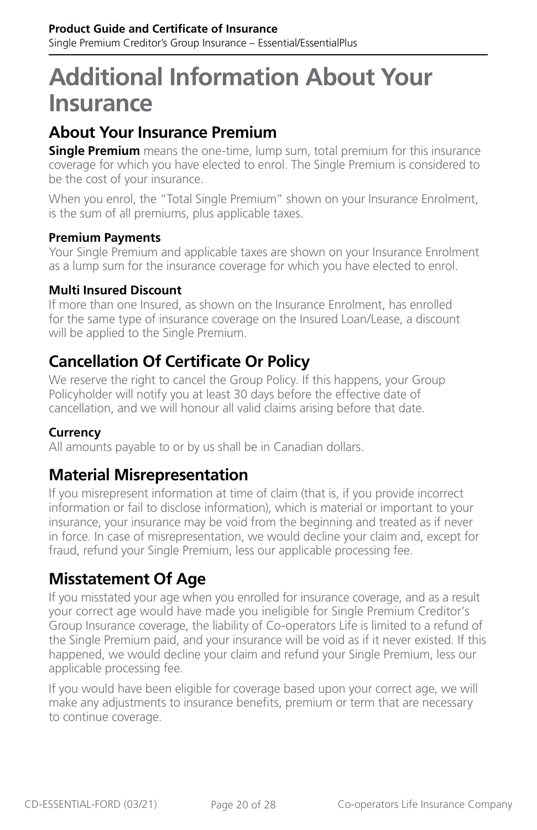## <span id="page-19-0"></span>**Additional Information About Your Insurance**

## **About Your Insurance Premium**

**Single Premium** means the one-time, lump sum, total premium for this insurance coverage for which you have elected to enrol. The Single Premium is considered to be the cost of your insurance.

When you enrol, the "Total Single Premium" shown on your Insurance Enrolment, is the sum of all premiums, plus applicable taxes.

#### **Premium Payments**

Your Single Premium and applicable taxes are shown on your Insurance Enrolment as a lump sum for the insurance coverage for which you have elected to enrol.

#### **Multi Insured Discount**

If more than one Insured, as shown on the Insurance Enrolment, has enrolled for the same type of insurance coverage on the Insured Loan/Lease, a discount will be applied to the Single Premium.

## **Cancellation Of Certificate Or Policy**

We reserve the right to cancel the Group Policy. If this happens, your Group Policyholder will notify you at least 30 days before the effective date of cancellation, and we will honour all valid claims arising before that date.

#### **Currency**

All amounts payable to or by us shall be in Canadian dollars.

### **Material Misrepresentation**

If you misrepresent information at time of claim (that is, if you provide incorrect information or fail to disclose information), which is material or important to your insurance, your insurance may be void from the beginning and treated as if never in force. In case of misrepresentation, we would decline your claim and, except for fraud, refund your Single Premium, less our applicable processing fee.

### **Misstatement Of Age**

If you misstated your age when you enrolled for insurance coverage, and as a result your correct age would have made you ineligible for Single Premium Creditor's Group Insurance coverage, the liability of Co-operators Life is limited to a refund of the Single Premium paid, and your insurance will be void as if it never existed. If this happened, we would decline your claim and refund your Single Premium, less our applicable processing fee.

If you would have been eligible for coverage based upon your correct age, we will make any adjustments to insurance benefits, premium or term that are necessary to continue coverage.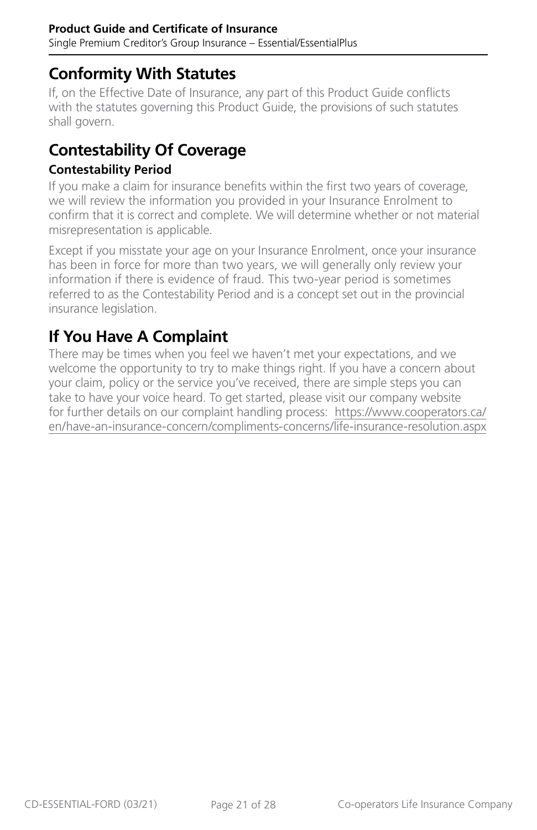## <span id="page-20-0"></span>**Conformity With Statutes**

If, on the Effective Date of Insurance, any part of this Product Guide conflicts with the statutes governing this Product Guide, the provisions of such statutes shall govern.

## **Contestability Of Coverage**

#### **Contestability Period**

If you make a claim for insurance benefits within the first two years of coverage, we will review the information you provided in your Insurance Enrolment to confirm that it is correct and complete. We will determine whether or not material misrepresentation is applicable.

Except if you misstate your age on your Insurance Enrolment, once your insurance has been in force for more than two years, we will generally only review your information if there is evidence of fraud. This two-year period is sometimes referred to as the Contestability Period and is a concept set out in the provincial insurance legislation.

## **If You Have A Complaint**

There may be times when you feel we haven't met your expectations, and we welcome the opportunity to try to make things right. If you have a concern about your claim, policy or the service you've received, there are simple steps you can take to have your voice heard. To get started, please visit our company website for further details on our complaint handling process: [https://www.cooperators.ca/](https://www.cooperators.ca/en/have-an-insurance-concern/compliments-concerns/life-insurance-resolution.aspx) [en/have-an-insurance-concern/compliments-concerns/life-insurance-resolution.aspx](https://www.cooperators.ca/en/have-an-insurance-concern/compliments-concerns/life-insurance-resolution.aspx)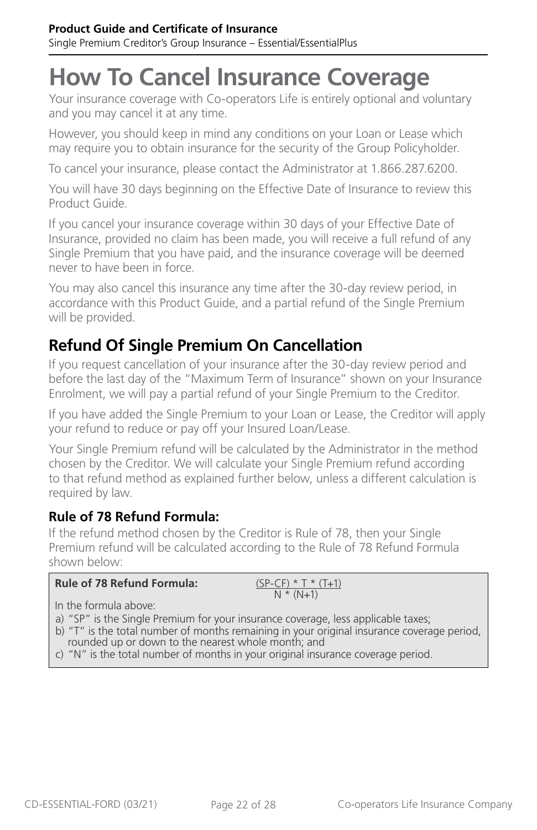## <span id="page-21-0"></span>**How To Cancel Insurance Coverage**

Your insurance coverage with Co-operators Life is entirely optional and voluntary and you may cancel it at any time.

However, you should keep in mind any conditions on your Loan or Lease which may require you to obtain insurance for the security of the Group Policyholder.

To cancel your insurance, please contact the Administrator at 1.866.287.6200.

You will have 30 days beginning on the Effective Date of Insurance to review this Product Guide.

If you cancel your insurance coverage within 30 days of your Effective Date of Insurance, provided no claim has been made, you will receive a full refund of any Single Premium that you have paid, and the insurance coverage will be deemed never to have been in force.

You may also cancel this insurance any time after the 30-day review period, in accordance with this Product Guide, and a partial refund of the Single Premium will be provided.

## **Refund Of Single Premium On Cancellation**

If you request cancellation of your insurance after the 30-day review period and before the last day of the "Maximum Term of Insurance" shown on your Insurance Enrolment, we will pay a partial refund of your Single Premium to the Creditor.

If you have added the Single Premium to your Loan or Lease, the Creditor will apply your refund to reduce or pay off your Insured Loan/Lease.

Your Single Premium refund will be calculated by the Administrator in the method chosen by the Creditor. We will calculate your Single Premium refund according to that refund method as explained further below, unless a different calculation is required by law.

#### **Rule of 78 Refund Formula:**

If the refund method chosen by the Creditor is Rule of 78, then your Single Premium refund will be calculated according to the Rule of 78 Refund Formula shown below:

| <b>Rule of 78 Refund Formula:</b> | $(SP-CF) * T * (T+1)$ |
|-----------------------------------|-----------------------|
|                                   | $N * (N+1)$           |

In the formula above:

- a) "SP" is the Single Premium for your insurance coverage, less applicable taxes;
- b) "T" is the total number of months remaining in your original insurance coverage period, rounded up or down to the nearest whole month; and
- c) "N" is the total number of months in your original insurance coverage period.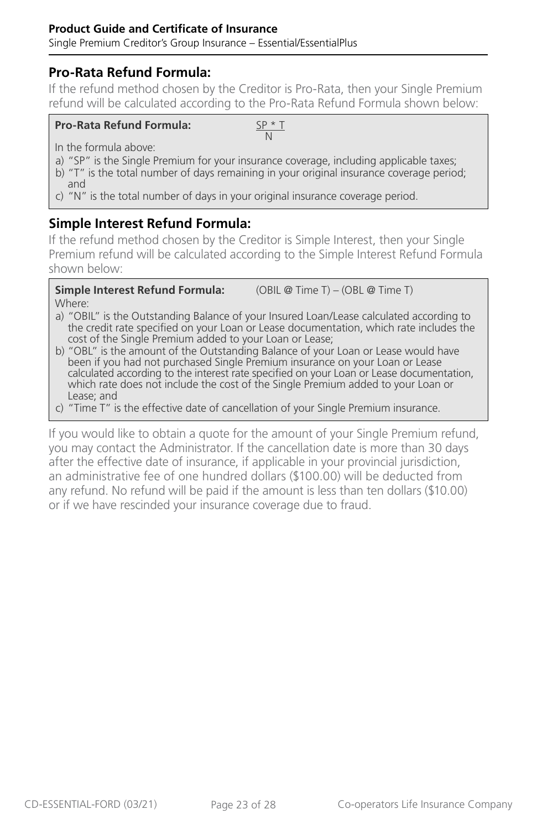#### **Pro-Rata Refund Formula:**

If the refund method chosen by the Creditor is Pro-Rata, then your Single Premium refund will be calculated according to the Pro-Rata Refund Formula shown below:

#### **Pro-Rata Refund Formula:** SP \* T

N

In the formula above:

- a) "SP" is the Single Premium for your insurance coverage, including applicable taxes;
- b) "T" is the total number of days remaining in your original insurance coverage period; and
- c) "N" is the total number of days in your original insurance coverage period.

#### **Simple Interest Refund Formula:**

If the refund method chosen by the Creditor is Simple Interest, then your Single Premium refund will be calculated according to the Simple Interest Refund Formula shown below:

**Simple Interest Refund Formula:** (OBIL @ Time T) – (OBL @ Time T) Where:

- a) "OBIL" is the Outstanding Balance of your Insured Loan/Lease calculated according to the credit rate specified on your Loan or Lease documentation, which rate includes the cost of the Single Premium added to your Loan or Lease;
- b) "OBL" is the amount of the Outstanding Balance of your Loan or Lease would have been if you had not purchased Single Premium insurance on your Loan or Lease calculated according to the interest rate specified on your Loan or Lease documentation, which rate does not include the cost of the Single Premium added to your Loan or Lease; and
- c) "Time T" is the effective date of cancellation of your Single Premium insurance.

If you would like to obtain a quote for the amount of your Single Premium refund, you may contact the Administrator. If the cancellation date is more than 30 days after the effective date of insurance, if applicable in your provincial jurisdiction, an administrative fee of one hundred dollars (\$100.00) will be deducted from any refund. No refund will be paid if the amount is less than ten dollars (\$10.00) or if we have rescinded your insurance coverage due to fraud.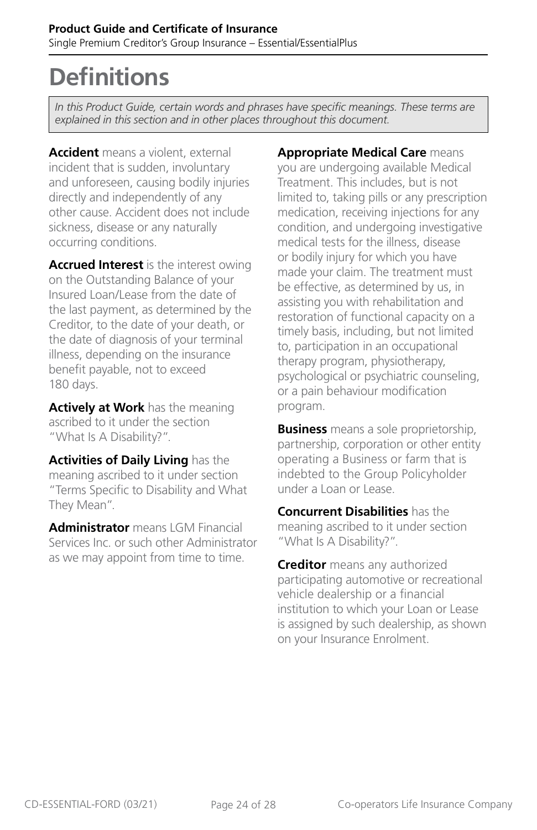## <span id="page-23-0"></span>**Definitions**

*In this Product Guide, certain words and phrases have specific meanings. These terms are*  explained in this section and in other places throughout this document.

**Accident** means a violent, external incident that is sudden, involuntary and unforeseen, causing bodily injuries directly and independently of any other cause. Accident does not include sickness, disease or any naturally occurring conditions.

**Accrued Interest** is the interest owing on the Outstanding Balance of your Insured Loan/Lease from the date of the last payment, as determined by the Creditor, to the date of your death, or the date of diagnosis of your terminal illness, depending on the insurance benefit payable, not to exceed 180 days.

**Actively at Work** has the meaning ascribed to it under the section "What Is A Disability?".

**Activities of Daily Living** has the meaning ascribed to it under section "Terms Specific to Disability and What They Mean".

**Administrator** means LGM Financial Services Inc. or such other Administrator as we may appoint from time to time.

**Appropriate Medical Care** means you are undergoing available Medical Treatment. This includes, but is not limited to, taking pills or any prescription medication, receiving injections for any condition, and undergoing investigative medical tests for the illness, disease or bodily injury for which you have made your claim. The treatment must be effective, as determined by us, in assisting you with rehabilitation and restoration of functional capacity on a timely basis, including, but not limited to, participation in an occupational therapy program, physiotherapy, psychological or psychiatric counseling, or a pain behaviour modification program.

**Business** means a sole proprietorship, partnership, corporation or other entity operating a Business or farm that is indebted to the Group Policyholder under a Loan or Lease.

**Concurrent Disabilities** has the meaning ascribed to it under section "What Is A Disability?".

**Creditor** means any authorized participating automotive or recreational vehicle dealership or a financial institution to which your Loan or Lease is assigned by such dealership, as shown on your Insurance Enrolment.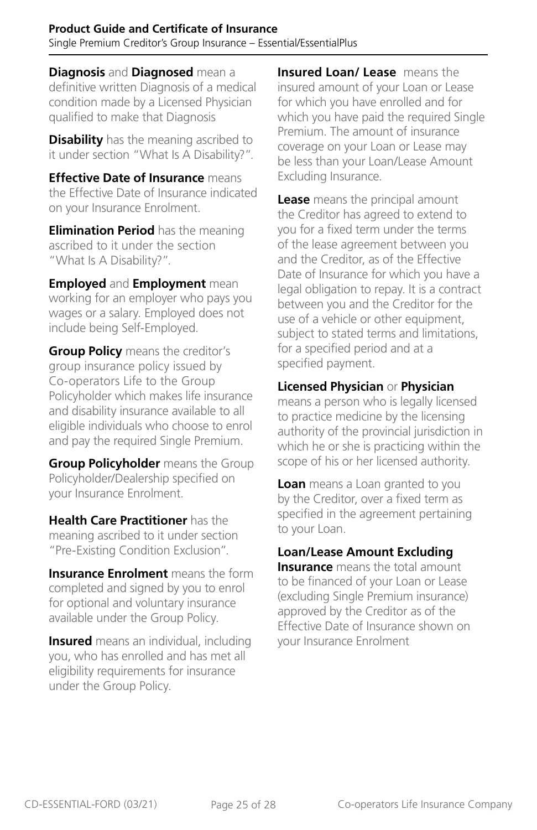**Diagnosis** and **Diagnosed** mean a definitive written Diagnosis of a medical condition made by a Licensed Physician qualified to make that Diagnosis

**Disability** has the meaning ascribed to it under section "What Is A Disability?".

**Effective Date of Insurance** means the Effective Date of Insurance indicated on your Insurance Enrolment.

**Elimination Period** has the meaning ascribed to it under the section "What Is A Disability?".

**Employed** and **Employment** mean working for an employer who pays you wages or a salary. Employed does not include being Self-Employed.

**Group Policy** means the creditor's group insurance policy issued by Co-operators Life to the Group Policyholder which makes life insurance and disability insurance available to all eligible individuals who choose to enrol and pay the required Single Premium.

**Group Policyholder** means the Group Policyholder/Dealership specified on your Insurance Enrolment.

**Health Care Practitioner** has the meaning ascribed to it under section "Pre-Existing Condition Exclusion".

**Insurance Enrolment** means the form completed and signed by you to enrol for optional and voluntary insurance available under the Group Policy.

**Insured** means an individual, including you, who has enrolled and has met all eligibility requirements for insurance under the Group Policy.

**Insured Loan/ Lease** means the insured amount of your Loan or Lease for which you have enrolled and for which you have paid the required Single Premium. The amount of insurance coverage on your Loan or Lease may be less than your Loan/Lease Amount Excluding Insurance.

**Lease** means the principal amount the Creditor has agreed to extend to you for a fixed term under the terms of the lease agreement between you and the Creditor, as of the Effective Date of Insurance for which you have a legal obligation to repay. It is a contract between you and the Creditor for the use of a vehicle or other equipment, subject to stated terms and limitations, for a specified period and at a specified payment.

#### **Licensed Physician** or **Physician**

means a person who is legally licensed to practice medicine by the licensing authority of the provincial jurisdiction in which he or she is practicing within the scope of his or her licensed authority.

**Loan** means a Loan granted to you by the Creditor, over a fixed term as specified in the agreement pertaining to your Loan.

#### **Loan/Lease Amount Excluding**

**Insurance** means the total amount to be financed of your Loan or Lease (excluding Single Premium insurance) approved by the Creditor as of the Effective Date of Insurance shown on your Insurance Enrolment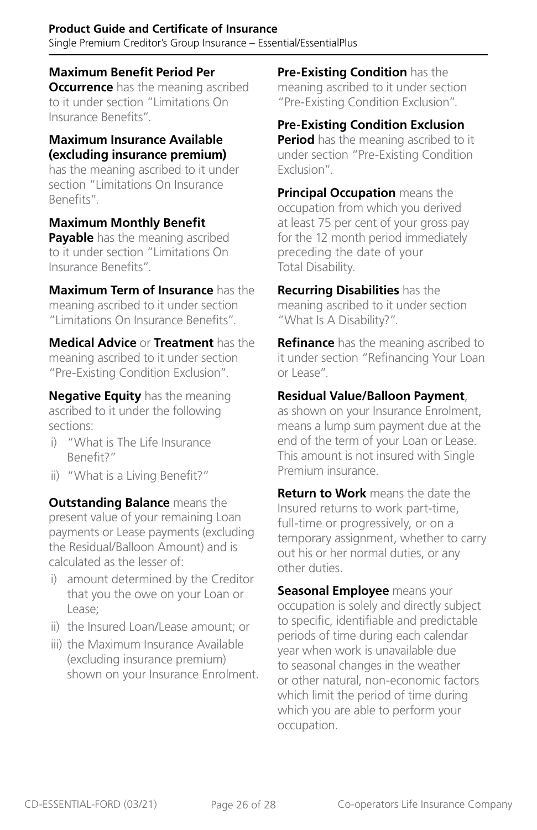#### **Product Guide and Certificate of Insurance** Single Premium Creditor's Group Insurance – Essential/EssentialPlus

#### **Maximum Benefit Period Per**

**Occurrence** has the meaning ascribed to it under section "Limitations On Insurance Benefits".

#### **Maximum Insurance Available (excluding insurance premium)**

has the meaning ascribed to it under section "Limitations On Insurance Benefits".

#### **Maximum Monthly Benefit**

**Payable** has the meaning ascribed to it under section "Limitations On Insurance Benefits".

**Maximum Term of Insurance** has the meaning ascribed to it under section "Limitations On Insurance Benefits".

**Medical Advice** or **Treatment** has the meaning ascribed to it under section "Pre-Existing Condition Exclusion".

**Negative Equity** has the meaning ascribed to it under the following sections:

- i) "What is The Life Insurance Benefit?"
- ii) "What is a Living Benefit?"

**Outstanding Balance** means the present value of your remaining Loan payments or Lease payments (excluding the Residual/Balloon Amount) and is calculated as the lesser of:

- i) amount determined by the Creditor that you the owe on your Loan or Lease;
- ii) the Insured Loan/Lease amount; or
- iii) the Maximum Insurance Available (excluding insurance premium) shown on your Insurance Enrolment.

**Pre-Existing Condition** has the meaning ascribed to it under section "Pre-Existing Condition Exclusion".

**Pre-Existing Condition Exclusion Period** has the meaning ascribed to it under section "Pre-Existing Condition Exclusion".

**Principal Occupation** means the occupation from which you derived at least 75 per cent of your gross pay for the 12 month period immediately preceding the date of your Total Disability.

**Recurring Disabilities** has the meaning ascribed to it under section "What Is A Disability?".

**Refinance** has the meaning ascribed to it under section "Refinancing Your Loan or Lease".

#### **Residual Value/Balloon Payment**,

as shown on your Insurance Enrolment, means a lump sum payment due at the end of the term of your Loan or Lease. This amount is not insured with Single Premium insurance.

**Return to Work** means the date the Insured returns to work part-time, full-time or progressively, or on a temporary assignment, whether to carry out his or her normal duties, or any other duties.

**Seasonal Employee** means your occupation is solely and directly subject to specific, identifiable and predictable periods of time during each calendar year when work is unavailable due to seasonal changes in the weather or other natural, non-economic factors which limit the period of time during which you are able to perform your occupation.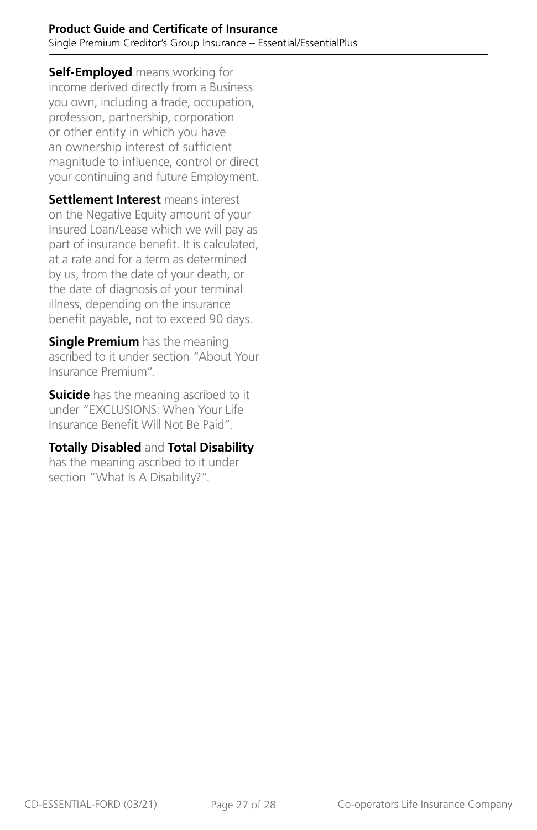**Self-Employed** means working for income derived directly from a Business you own, including a trade, occupation, profession, partnership, corporation or other entity in which you have an ownership interest of sufficient magnitude to influence, control or direct your continuing and future Employment.

**Settlement Interest** means interest on the Negative Equity amount of your Insured Loan/Lease which we will pay as part of insurance benefit. It is calculated, at a rate and for a term as determined by us, from the date of your death, or the date of diagnosis of your terminal illness, depending on the insurance benefit payable, not to exceed 90 days.

**Single Premium** has the meaning ascribed to it under section "About Your Insurance Premium".

**Suicide** has the meaning ascribed to it under "EXCLUSIONS: When Your Life Insurance Benefit Will Not Be Paid".

#### **Totally Disabled** and **Total Disability**

has the meaning ascribed to it under section "What Is A Disability?".